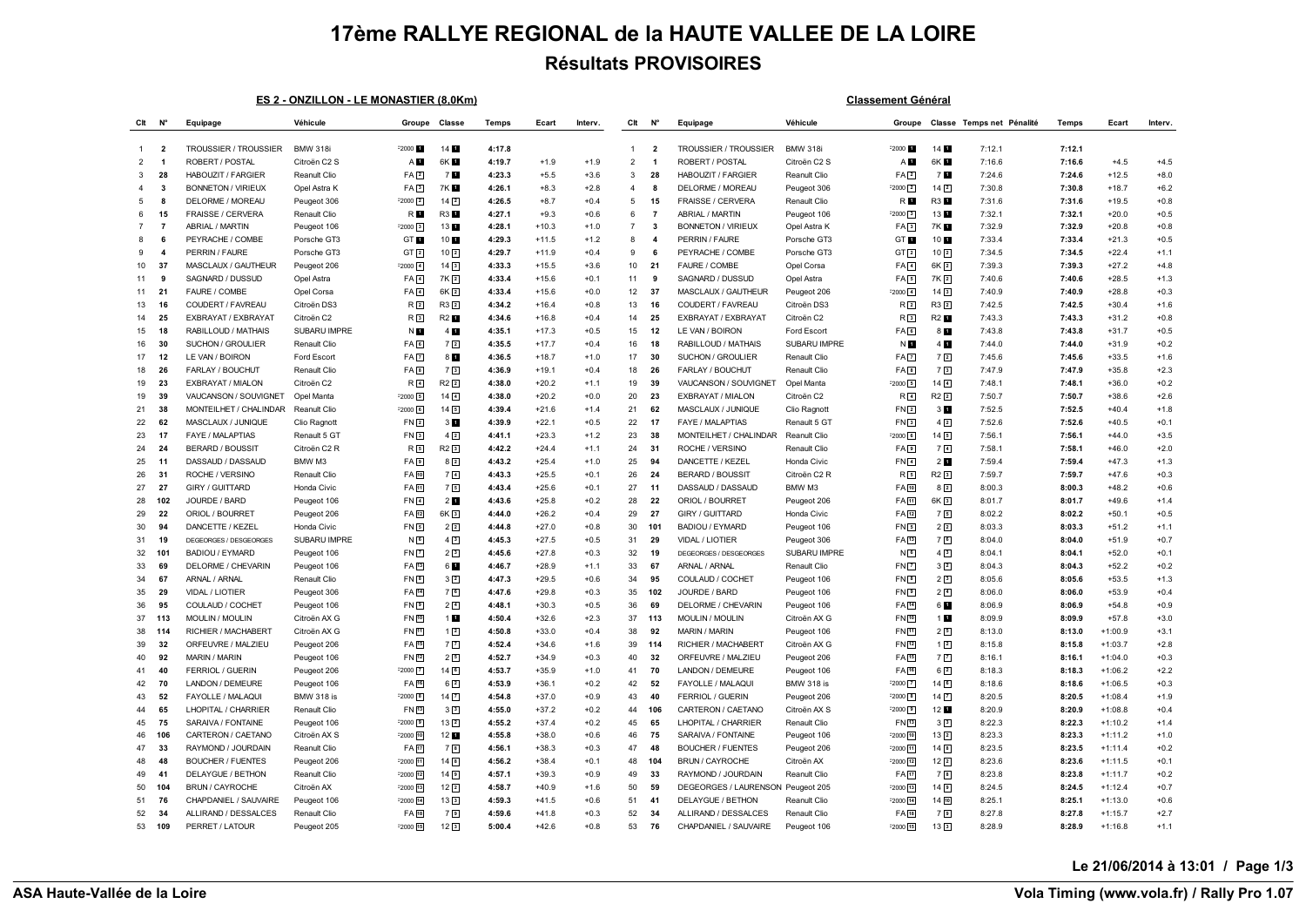## **17ème RALLYE REGIONAL de la HAUTE VALLEE DE LA LOIRE Résultats PROVISOIRES**

## **ES 2 - ONZILLON - LE MONASTIER (8,0Km) Classement Général**

| Clt            | N°                      | Equipage                     | Véhicule          | Groupe              | Classe              | Temps  | Ecart   | Interv. | Clt            | N°                      | Equipage                          | Véhicule          | Groupe              |                     | Classe Temps net Pénalité | Temps  | Ecart     | Interv. |
|----------------|-------------------------|------------------------------|-------------------|---------------------|---------------------|--------|---------|---------|----------------|-------------------------|-----------------------------------|-------------------|---------------------|---------------------|---------------------------|--------|-----------|---------|
|                |                         |                              |                   |                     |                     |        |         |         |                |                         |                                   |                   |                     |                     |                           |        |           |         |
| $\mathbf{1}$   | $\overline{\mathbf{2}}$ | <b>TROUSSIER / TROUSSIER</b> | <b>BMW 318i</b>   | F2000 <b>M</b>      | 14 1                | 4:17.8 |         |         | $\overline{1}$ | $\overline{\mathbf{2}}$ | <b>TROUSSIER / TROUSSIER</b>      | <b>BMW 318i</b>   | $-2000$             | 14                  | 7:12.1                    | 7:12.1 |           |         |
| $\overline{2}$ | $\overline{\mathbf{1}}$ | ROBERT / POSTAL              | Citroën C2 S      | A <sub>L</sub>      | 6K <b>H</b>         | 4:19.7 | $+1.9$  | $+1.9$  | $\overline{2}$ | $\overline{1}$          | ROBERT / POSTAL                   | Citroën C2 S      | A <b>D</b>          | 6K <b>1</b>         | 7:16.6                    | 7:16.6 | $+4.5$    | $+4.5$  |
| 3              | 28                      | HABOUZIT / FARGIER           | Reanult Clio      | FA <sup>2</sup>     | 7 <b>N</b>          | 4:23.3 | $+5.5$  | $+3.6$  | 3              | 28                      | HABOUZIT / FARGIER                | Reanult Clio      | FA <sup>2</sup>     | 7 <b>M</b>          | 7:24.6                    | 7:24.6 | $+12.5$   | $+8.0$  |
| $\overline{4}$ | -3                      | <b>BONNETON / VIRIEUX</b>    | Opel Astra K      | FA <sub>3</sub>     | 7K E                | 4:26.1 | $+8.3$  | $+2.8$  | $\overline{4}$ | 8                       | DELORME / MOREAU                  | Peugeot 306       | $-2000$ $\boxed{2}$ | $14\sqrt{2}$        | 7:30.8                    | 7:30.8 | $+18.7$   | $+6.2$  |
| -5             | -8                      | DELORME / MOREAU             | Peugeot 306       | $F2000$ $2$         | 14 <sup>2</sup>     | 4:26.5 | $+8.7$  | $+0.4$  | 5              | 15                      | FRAISSE / CERVERA                 | Renault Clio      | R <b>E</b>          | R3 1                | 7:31.6                    | 7:31.6 | $+19.5$   | $+0.8$  |
| 6              | 15                      | FRAISSE / CERVERA            | Renault Clio      | R <b>D</b>          | <b>R3</b>           | 4:27.1 | $+9.3$  | $+0.6$  | 6              | $\overline{7}$          | ABRIAL / MARTIN                   | Peugeot 106       | $-2000$ 3           | 13 1                | 7:32.1                    | 7:32.1 | $+20.0$   | $+0.5$  |
| $\overline{7}$ | $\overline{7}$          | ABRIAL / MARTIN              | Peugeot 106       | $F2000$ 3           | 13 1                | 4:28.1 | $+10.3$ | $+1.0$  | $\overline{7}$ | 3                       | <b>BONNETON / VIRIEUX</b>         | Opel Astra K      | FA <sub>3</sub>     | 7K 1                | 7:32.9                    | 7:32.9 | $+20.8$   | $+0.8$  |
| 8              | 6                       | PEYRACHE / COMBE             | Porsche GT3       | GT <b>I</b>         | 10 1                | 4:29.3 | $+11.5$ | $+1.2$  | 8              | $\overline{4}$          | PERRIN / FAURE                    | Porsche GT3       | GT 1                | 10                  | 7:33.4                    | 7:33.4 | $+21.3$   | $+0.5$  |
| 9              | $\overline{\mathbf{4}}$ | PERRIN / FAURE               | Porsche GT3       | GT[2]               | 10 <sup>2</sup>     | 4:29.7 | $+11.9$ | $+0.4$  | 9              | 6                       | PEYRACHE / COMBE                  | Porsche GT3       | GT[2]               | $10^{2}$            | 7:34.5                    | 7:34.5 | $+22.4$   | $+1.1$  |
| 10             | 37                      | MASCLAUX / GAUTHEUR          | Peugeot 206       | $-2000 - 4$         | $14\overline{3}$    | 4:33.3 | $+15.5$ | $+3.6$  | 10             | 21                      | FAURE / COMBE                     | Opel Corsa        | $FA$ <sup>4</sup>   | 6K <sub>2</sub>     | 7:39.3                    | 7:39.3 | $+27.2$   | $+4.8$  |
| 11             | 9                       | SAGNARD / DUSSUD             | Opel Astra        | FA <sub>1</sub>     | 7K <sub>2</sub>     | 4:33.4 | $+15.6$ | $+0.1$  | 11             | 9                       | SAGNARD / DUSSUD                  | Opel Astra        | $FA \boxed{5}$      | 7K 2                | 7:40.6                    | 7:40.6 | $+28.5$   | $+1.3$  |
| 11             | 21                      | FAURE / COMBE                | Opel Corsa        | FA <sub>4</sub>     | $6K$ <sup>2</sup>   | 4:33.4 | $+15.6$ | $+0.0$  | 12             | 37                      | MASCLAUX / GAUTHEUR               | Peugeot 206       | $-2000$ $4$         | 14 <sup>3</sup>     | 7:40.9                    | 7:40.9 | $+28.8$   | $+0.3$  |
| 13             | 16                      | COUDERT / FAVREAU            | Citroën DS3       | R <sub>2</sub>      | $R3$ <sup>2</sup>   | 4:34.2 | $+16.4$ | $+0.8$  | 13             | 16                      | COUDERT / FAVREAU                 | Citroën DS3       | R <sub>2</sub>      | R3 2                | 7:42.5                    | 7:42.5 | $+30.4$   | $+1.6$  |
| 14             | 25                      | EXBRAYAT / EXBRAYAT          | Citroën C2        | R <sub>3</sub>      | <b>R2</b>           | 4:34.6 | $+16.8$ | $+0.4$  | 14             | 25                      | EXBRAYAT / EXBRAYAT               | Citroën C2        | R <sub>3</sub>      | R2 <sup>1</sup>     | 7:43.3                    | 7:43.3 | $+31.2$   | $+0.8$  |
| 15             | 18                      | RABILLOUD / MATHAIS          | SUBARU IMPRE      | N <b>H</b>          | 4                   | 4:35.1 | $+17.3$ | $+0.5$  | 15             | 12                      | LE VAN / BOIRON                   | Ford Escort       | FA 6                | 8 <b>M</b>          | 7:43.8                    | 7:43.8 | $+31.7$   | $+0.5$  |
| 16             | 30                      | SUCHON / GROULIER            | Renault Clio      | FA <sup>6</sup>     | 7 <sup>2</sup>      | 4:35.5 | $+17.7$ | $+0.4$  | 16             | 18                      | RABILLOUD / MATHAIS               | SUBARU IMPRE      | N E                 | 4 <b>D</b>          | 7:44.0                    | 7:44.0 | $+31.9$   | $+0.2$  |
| 17             | 12                      | LE VAN / BOIRON              | Ford Escort       | FA <sub>7</sub>     | 81                  | 4:36.5 | $+18.7$ | $+1.0$  | 17             | 30                      | SUCHON / GROULIER                 | Renault Clic      | FA <sub>[7]</sub>   | 72                  | 7:45.6                    | 7:45.6 | $+33.5$   | $+1.6$  |
| 18             | 26                      | FARLAY / BOUCHUT             | Renault Clio      | FA <sup>B</sup>     | 7 <sup>3</sup>      | 4:36.9 | $+19.1$ | $+0.4$  | 18             | 26                      | FARLAY / BOUCHUT                  | Renault Clio      | $FA$ $8$            | 73                  | 7:47.9                    | 7:47.9 | $+35.8$   | $+2.3$  |
| 19             | 23                      | EXBRAYAT / MIALON            | Citroën C2        | R <sub>4</sub>      | $R2$ <sup>2</sup>   | 4:38.0 | $+20.2$ | $+1.1$  | 19             | 39                      | VAUCANSON / SOUVIGNET             | Opel Manta        | $-2000$ $5$         | 14 <sup>4</sup>     | 7:48.1                    | 7:48.1 | $+36.0$   | $+0.2$  |
| 19             | 39                      | VAUCANSON / SOUVIGNET        | Opel Manta        | F20005              | $14\sqrt{4}$        | 4:38.0 | $+20.2$ | $+0.0$  | 20             | 23                      | EXBRAYAT / MIALON                 | Citroën C2        | R <sub>4</sub>      | $R2$ <sup>2</sup>   | 7:50.7                    | 7:50.7 | $+38.6$   | $+2.6$  |
| 21             | 38                      | MONTEILHET / CHALINDAR       | Reanult Clio      | $F2000$ 6           | $14\sqrt{5}$        | 4:39.4 | $+21.6$ | $+1.4$  | 21             | 62                      | MASCLAUX / JUNIQUE                | Clio Ragnott      | $FN$ <sup>2</sup>   | 3 <sub>1</sub>      | 7:52.5                    | 7:52.5 | $+40.4$   | $+1.8$  |
| 22             | 62                      | MASCLAUX / JUNIQUE           | Clio Ragnott      | FN <sub>2</sub>     | 3 <sub>u</sub>      | 4:39.9 | $+22.1$ | $+0.5$  | 22             | 17                      | FAYE / MALAPTIAS                  | Renault 5 GT      | FN3                 | $4\sqrt{2}$         | 7:52.6                    | 7:52.6 | $+40.5$   | $+0.1$  |
| 23             | 17                      | FAYE / MALAPTIAS             | Renault 5 GT      | FN <sub>3</sub>     | $4\sqrt{2}$         | 4:41.1 | $+23.3$ | $+1.2$  | 23             | 38                      | MONTEILHET / CHALINDAR            | Reanult Clio      | $-2000$ $6$         | $14\overline{5}$    | 7:56.1                    | 7:56.1 | $+44.0$   | $+3.5$  |
| 24             | 24                      | <b>BERARD / BOUSSIT</b>      | Citroën C2 R      | $R_{5}$             | $R2$ <sup>3</sup>   | 4:42.2 | $+24.4$ | $+1.1$  | 24             | 31                      | ROCHE / VERSINO                   | Renault Clio      | FA <sub>[9]</sub>   | 7 <sup>14</sup>     | 7:58.1                    | 7:58.1 | $+46.0$   | $+2.0$  |
| 25             | 11                      | DASSAUD / DASSAUD            | BMW M3            | FA <sub>9</sub>     | $8\sqrt{2}$         | 4:43.2 | $+25.4$ | $+1.0$  | 25             | 94                      | DANCETTE / KEZEL                  | Honda Civic       | $FN$ <sup>4</sup>   | 2 <sub>u</sub>      | 7:59.4                    | 7:59.4 | $+47.3$   | $+1.3$  |
| 26             | 31                      | ROCHE / VERSINO              | Renault Clio      | FA 10               | 7 <sup>4</sup>      | 4:43.3 | $+25.5$ | $+0.1$  | 26             | 24                      | <b>BERARD / BOUSSIT</b>           | Citroën C2 R      | $R_5$               | R2 3                | 7:59.7                    | 7:59.7 | $+47.6$   | $+0.3$  |
| 27             | 27                      | GIRY / GUITTARD              | Honda Civic       | FA 11               | 75                  | 4:43.4 | $+25.6$ | $+0.1$  | 27             | 11                      | DASSAUD / DASSAUD                 | BMW M3            | FA [10]             | $8\sqrt{2}$         | 8:00.3                    | 8:00.3 | $+48.2$   | $+0.6$  |
| 28             | 102                     | JOURDE / BARD                | Peugeot 106       | FN <sub>4</sub>     | 2 <sub>u</sub>      | 4:43.6 | $+25.8$ | $+0.2$  | 28             | 22                      | ORIOL / BOURRET                   | Peugeot 206       | FA [1]              | 6K 3                | 8:01.7                    | 8:01.7 | $+49.6$   | $+1.4$  |
| 29             | 22                      | ORIOL / BOURRET              | Peugeot 206       | FA 12               | $6K$ <sup>3</sup>   | 4:44.0 | $+26.2$ | $+0.4$  | 29             | 27                      | GIRY / GUITTARD                   | Honda Civic       | FA 12               | 75                  | 8:02.2                    | 8:02.2 | $+50.1$   | $+0.5$  |
| 30             | 94                      | DANCETTE / KEZEL             | Honda Civic       | FN <sub>5</sub>     | $2\sqrt{2}$         | 4:44.8 | $+27.0$ | $+0.8$  | 30             | 101                     | <b>BADIOU / EYMARD</b>            | Peugeot 106       | FN5                 | $2\sqrt{2}$         | 8:03.3                    | 8:03.3 | $+51.2$   | $+1.1$  |
| 31             | 19                      | DEGEORGES / DESGEORGES       | SUBARU IMPRE      | N <sub>6</sub>      | $4\sqrt{3}$         | 4:45.3 | $+27.5$ | $+0.5$  | 31             | 29                      | VIDAL / LIOTIER                   | Peugeot 306       | $FA$ <sup>13</sup>  | 76                  | 8:04.0                    | 8:04.0 | $+51.9$   | $+0.7$  |
| 32             | 101                     | <b>BADIOU / EYMARD</b>       | Peugeot 106       | FN <sub>[7]</sub>   | 2 <sup>3</sup>      | 4:45.6 | $+27.8$ | $+0.3$  | 32             | 19                      | DEGEORGES / DESGEORGES            | SUBARU IMPRE      | N <sub>6</sub>      | 4 <sup>3</sup>      | 8:04.1                    | 8:04.1 | $+52.0$   | $+0.1$  |
| 33             | 69                      | DELORME / CHEVARIN           | Peugeot 106       | FA 13               | 61                  | 4:46.7 | $+28.9$ | $+1.1$  | 33             | 67                      | ARNAL / ARNAL                     | Renault Clio      | $FN$ $7$            | $3\sqrt{2}$         | 8:04.3                    | 8:04.3 | $+52.2$   | $+0.2$  |
| 34             | 67                      | ARNAL / ARNAL                | Renault Clio      | FN <sup>8</sup>     | $3\sqrt{2}$         | 4:47.3 | $+29.5$ | $+0.6$  | 34             | 95                      | COULAUD / COCHET                  | Peugeot 106       | FN 8                | 2 <sup>3</sup>      | 8:05.6                    | 8:05.6 | $+53.5$   | $+1.3$  |
| 35             | 29                      | VIDAL / LIOTIER              | Peugeot 306       | FA 14               | 7回                  | 4:47.6 | $+29.8$ | $+0.3$  | 35             | 102                     | JOURDE / BARD                     | Peugeot 106       | FN <sub>D</sub>     | $2\sqrt{4}$         | 8:06.0                    | 8:06.0 | $+53.9$   | $+0.4$  |
| 36             | 95                      | COULAUD / COCHET             | Peugeot 106       | FN <sub>9</sub>     | $2\sqrt{4}$         | 4:48.1 | $+30.3$ | $+0.5$  | 36             | 69                      | DELORME / CHEVARIN                | Peugeot 106       | FA 14               | 6 <b>D</b>          | 8:06.9                    | 8:06.9 | $+54.8$   | $+0.9$  |
| 37             | 113                     | <b>MOULIN / MOULIN</b>       | Citroën AX G      | FN [10]             | 1 <sub>1</sub>      | 4:50.4 | $+32.6$ | $+2.3$  | 37             | 113                     | <b>MOULIN / MOULIN</b>            | Citroën AX G      | FN <sub>[10</sub> ] | 1 <sub>1</sub>      | 8:09.9                    | 8:09.9 | $+57.8$   | $+3.0$  |
| 38             | 114                     | RICHIER / MACHABERT          | Citroën AX G      | FN 11               | $1\sqrt{2}$         | 4:50.8 | $+33.0$ | $+0.4$  | 38             | 92                      | <b>MARIN / MARIN</b>              | Peugeot 106       | FN <sub>[11</sub> ] | 25                  | 8:13.0                    | 8:13.0 | $+1:00.9$ | $+3.1$  |
| 39             | 32                      | ORFEUVRE / MALZIEU           | Peugeot 206       | FA 15               | 7 <sup>2</sup>      | 4:52.4 | $+34.6$ | $+1.6$  | 39             | 114                     | RICHIER / MACHABERT               | Citroën AX G      | FN [12]             | $1\sqrt{2}$         | 8:15.8                    | 8:15.8 | $+1:03.7$ | $+2.8$  |
| 40             | 92                      | <b>MARIN / MARIN</b>         | Peugeot 106       | FN 12               | 25                  | 4:52.7 | $+34.9$ | $+0.3$  | 40             | 32                      | ORFEUVRE / MALZIEU                | Peugeot 206       | FA [15]             | 7 <sup>7</sup>      | 8:16.1                    | 8:16.1 | $+1:04.0$ | $+0.3$  |
| 41             | 40                      | <b>FERRIOL / GUERIN</b>      | Peugeot 206       | $F2000$ $7$         | $14\overline{6}$    | 4:53.7 | $+35.9$ | $+1.0$  | 41             | 70                      | LANDON / DEMEURE                  | Peugeot 106       | FA 16               | $6\sqrt{2}$         | 8:18.3                    | 8:18.3 | $+1:06.2$ | $+2.2$  |
| 42             | 70                      | LANDON / DEMEURE             | Peugeot 106       | FA 16               | $6\sqrt{2}$         | 4:53.9 | $+36.1$ | $+0.2$  | 42             | 52                      | FAYOLLE / MALAQUI                 | <b>BMW 318 is</b> | $-2000$ $\boxed{7}$ | 146                 | 8:18.6                    | 8:18.6 | $+1:06.5$ | $+0.3$  |
| 43             | 52                      | FAYOLLE / MALAQUI            | <b>BMW 318 is</b> | $F2000$ 8           | $14$ $\overline{7}$ | 4:54.8 | $+37.0$ | $+0.9$  | 43             | 40                      | FERRIOL / GUERIN                  | Peugeot 206       | $-2000$ $8$         | $14$ $\overline{7}$ | 8:20.5                    | 8:20.5 | $+1:08.4$ | $+1.9$  |
| 44             | 65                      | LHOPITAL / CHARRIER          | Renault Clio      | FN 13               | 3 <sup>3</sup>      | 4:55.0 | $+37.2$ | $+0.2$  | 44             | 106                     | CARTERON / CAETANO                | Citroën AX S      | $-2000$ $\boxed{9}$ | 12 <sub>1</sub>     | 8:20.9                    | 8:20.9 | $+1:08.8$ | $+0.4$  |
| 45             | 75                      | SARAIVA / FONTAINE           | Peugeot 106       | $F2000$ 9           | 13 2                | 4:55.2 | $+37.4$ | $+0.2$  | 45             | 65                      | LHOPITAL / CHARRIER               | Renault Clio      | FN [13]             | 3 <sup>3</sup>      | 8:22.3                    | 8:22.3 | $+1:10.2$ | $+1.4$  |
| 46             | 106                     | CARTERON / CAETANO           | Citroën AX S      | F2000 10            | 12 <sub>1</sub>     | 4:55.8 | $+38.0$ | $+0.6$  | 46             | 75                      | SARAIVA / FONTAINE                | Peugeot 106       | $-2000$ $10$        | 13 <sup>2</sup>     | 8:23.3                    | 8:23.3 | $+1:11.2$ | $+1.0$  |
| 47             | 33                      | RAYMOND / JOURDAIN           | Reanult Clio      | FA <sub>[17</sub> ] | 72                  | 4:56.1 | $+38.3$ | $+0.3$  | 47             | 48                      | <b>BOUCHER / FUENTES</b>          | Peugeot 206       | $= 2000$ [11]       | 14 <sup>8</sup>     | 8:23.5                    | 8:23.5 | $+1:11.4$ | $+0.2$  |
| 48             | 48                      | <b>BOUCHER / FUENTES</b>     | Peugeot 206       | F2000 11            | 142                 | 4:56.2 | $+38.4$ | $+0.1$  | 48             | 104                     | <b>BRUN / CAYROCHE</b>            | Citroën AX        | $-2000$ $12$        | 122                 | 8:23.6                    | 8:23.6 | $+1:11.5$ | $+0.1$  |
| 49             | 41                      | DELAYGUE / BETHON            | Reanult Clio      | F2000 12            | $14$ $9$            | 4:57.1 | $+39.3$ | $+0.9$  | 49             | 33                      | RAYMOND / JOURDAIN                | Reanult Clio      | FA [17]             | 72                  | 8:23.8                    | 8:23.8 | $+1:11.7$ | $+0.2$  |
| 50             | 104                     | <b>BRUN / CAYROCHE</b>       | Citroën AX        | F2000 13            | $12\sqrt{2}$        | 4:58.7 | $+40.9$ | $+1.6$  | 50             | 59                      | DEGEORGES / LAURENSON Peugeot 205 |                   | $-2000$ $13$        | 149                 | 8:24.5                    | 8:24.5 | $+1:12.4$ | $+0.7$  |
| 51             | 76                      | CHAPDANIEL / SAUVAIRE        | Peugeot 106       | F2000 14            | $13\boxed{3}$       | 4:59.3 | $+41.5$ | $+0.6$  | 51             | 41                      | DELAYGUE / BETHON                 | Reanult Clio      | $-2000$ $14$        | 14 10               | 8:25.1                    | 8:25.1 | $+1:13.0$ | $+0.6$  |
| 52             | 34                      | ALLIRAND / DESSALCES         | Renault Clio      | FA <sub>[18]</sub>  | 77                  | 4:59.6 | $+41.8$ | $+0.3$  | 52             | 34                      | ALLIRAND / DESSALCES              | Renault Clio      | FA [18]             | 79                  | 8:27.8                    | 8:27.8 | $+1:15.7$ | $+2.7$  |
| 53             | 109                     | PERRET / LATOUR              | Peugeot 205       | F2000 15            | $12\sqrt{3}$        | 5:00.4 | $+42.6$ | $+0.8$  | 53             | 76                      | CHAPDANIEL / SAUVAIRE             | Peugeot 106       | $-2000$ $\sqrt{15}$ | $13\sqrt{3}$        | 8:28.9                    | 8:28.9 | $+1:16.8$ | $+1.1$  |

**Le 21/06/2014 à 13:01 / Page 1/3**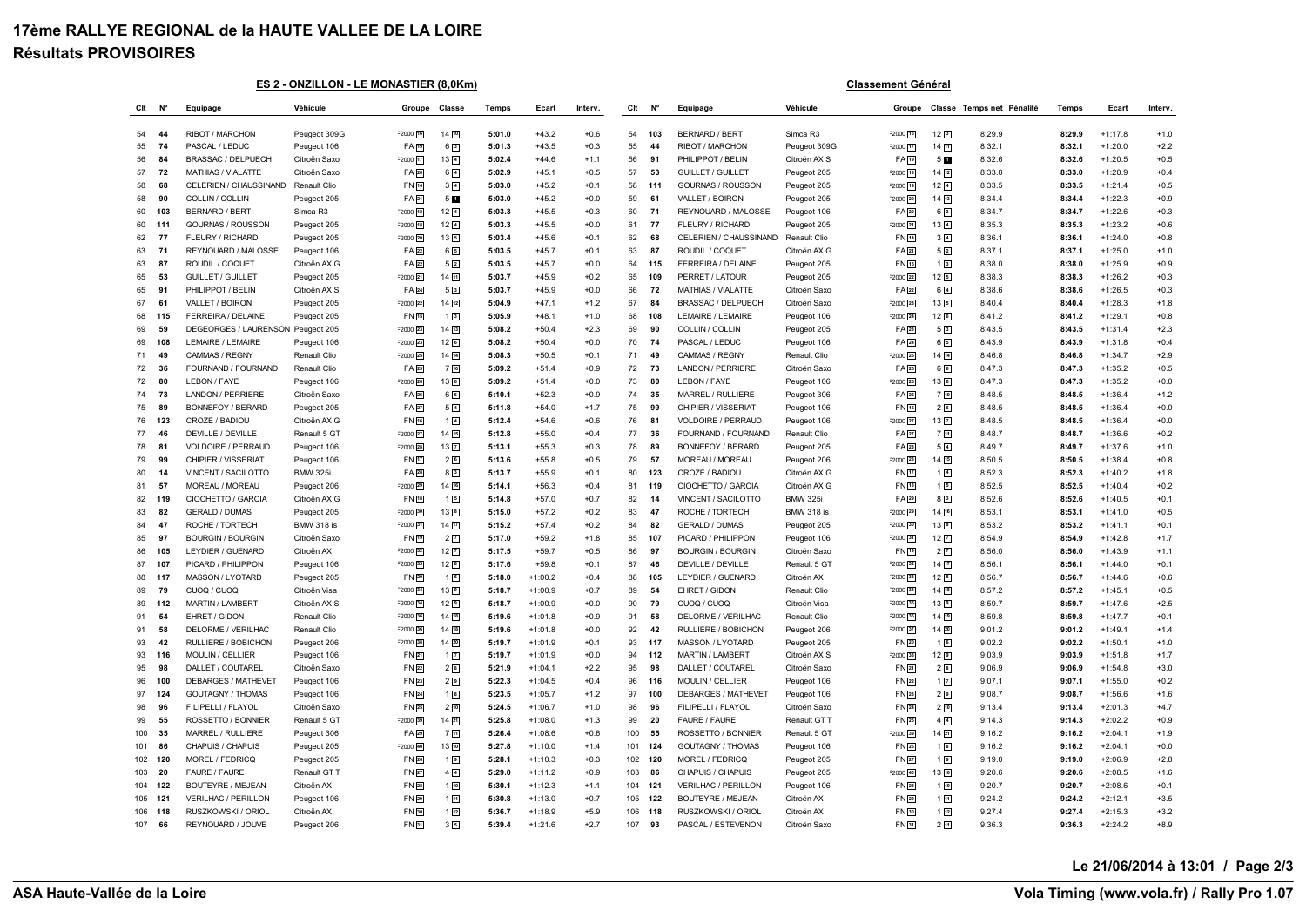## **17ème RALLYE REGIONAL de la HAUTE VALLEE DE LA LOIRE Résultats PROVISOIRES**

**ES 2 - ONZILLON - LE MONASTIER (8,0Km) Classement Général**

| Clt | N°  | Equipage                   | Véhicule          | Groupe       | Classe         | Temps  | Ecart     | Interv. | CIt | N   | Equipage                   | Véhicule          | Groupe               |                     | Classe Temps net Pénalité | Temps  | Ecart     | Interv. |
|-----|-----|----------------------------|-------------------|--------------|----------------|--------|-----------|---------|-----|-----|----------------------------|-------------------|----------------------|---------------------|---------------------------|--------|-----------|---------|
| 54  | 44  | RIBOT / MARCHON            | Peugeot 309G      | $F2000$ 16   | 14 [10]        | 5:01.0 | $+43.2$   | $+0.6$  | 54  | 103 | <b>BERNARD / BERT</b>      | Simca R3          | $-2000$ $16$         | 12 <sup>3</sup>     | 8:29.9                    | 8:29.9 | $+1:17.8$ | $+1.0$  |
| 55  | 74  | PASCAL / LEDUC             | Peugeot 106       | FA 19        | $6\sqrt{3}$    | 5:01.3 | $+43.5$   | $+0.3$  | 55  | 44  | RIBOT / MARCHON            | Peugeot 309G      | $-2000$ $17$         | 14 11               | 8:32.1                    | 8:32.1 | $+1:20.0$ | $+2.2$  |
| 56  | 84  | <b>BRASSAC / DELPUECH</b>  | Citroën Saxo      | $F2000$ $17$ | 13 4           | 5:02.4 | $+44.6$   | $+1.1$  | 56  | 91  | PHILIPPOT / BELIN          | Citroën AX S      | FA <sub>[19]</sub>   | 5 <b>D</b>          | 8:32.6                    | 8:32.6 | $+1:20.5$ | $+0.5$  |
| 57  | 72  | <b>MATHIAS / VIALATTE</b>  | Citroën Saxo      | FA 20        | $6\sqrt{4}$    | 5:02.9 | $+45.1$   | $+0.5$  | 57  | 53  | <b>GUILLET / GUILLET</b>   | Peugeot 205       | $-2000$ $18$         | 14 12               | 8:33.0                    | 8:33.0 | $+1:20.9$ | $+0.4$  |
| 58  | 68  | CELERIEN / CHAUSSINAND     | Renault Clio      | FN 14        | $3\sqrt{4}$    | 5:03.0 | $+45.2$   | $+0.1$  | 58  | 111 | <b>GOURNAS / ROUSSON</b>   | Peugeot 205       | $-2000$ 19           | $12\sqrt{4}$        | 8:33.5                    | 8:33.5 | $+1:21.4$ | $+0.5$  |
| 58  | 90  | COLLIN / COLLIN            | Peugeot 205       | FA 21        | 5 <b>M</b>     | 5:03.0 | $+45.2$   | $+0.0$  | 59  | 61  | VALLET / BOIRON            | Peugeot 205       | $-2000$ $20$         | $14 \overline{13}$  | 8:34.4                    | 8:34.4 | $+1:22.3$ | $+0.9$  |
| 60  | 103 | <b>BERNARD / BERT</b>      | Simca R3          | F2000 18     | $12\sqrt{4}$   | 5:03.3 | $+45.5$   | $+0.3$  | 60  | 71  | REYNOUARD / MALOSSE        | Peugeot 106       | FA 20                | 63                  | 8:34.7                    | 8:34.7 | $+1:22.6$ | $+0.3$  |
| 60  | 111 | GOURNAS / ROUSSON          | Peugeot 205       | F2000 18     | $12\sqrt{4}$   | 5:03.3 | $+45.5$   | $+0.0$  | 61  | 77  | FLEURY / RICHARD           | Peugeot 205       | $-2000$ $21$         | $13\sqrt{4}$        | 8:35.3                    | 8:35.3 | $+1:23.2$ | $+0.6$  |
| 62  | 77  | FLEURY / RICHARD           | Peugeot 205       | F2000 20     | 135            | 5:03.4 | $+45.6$   | $+0.1$  | 62  | 68  | CELERIEN / CHAUSSINAND     | Renault Clio      | FN [14]              | 3 <sup>4</sup>      | 8:36.1                    | 8:36.1 | $+1:24.0$ | $+0.8$  |
| 63  | 71  | REYNOUARD / MALOSSE        | Peugeot 106       | FA 22        | 6 <sup>5</sup> | 5:03.5 | $+45.7$   | $+0.1$  | 63  | 87  | ROUDIL / COQUET            | Citroën AX G      | FA 21                | 5 <sup>2</sup>      | 8:37.1                    | 8:37.1 | $+1:25.0$ | $+1.0$  |
| 63  | 87  | ROUDIL / COQUET            | Citroën AX G      | FA 22        | 52             | 5:03.5 | $+45.7$   | $+0.0$  | 64  | 115 | FERREIRA / DELAINE         | Peugeot 205       | FN 15                | 13                  | 8:38.0                    | 8:38.0 | $+1:25.9$ | $+0.9$  |
| 65  | 53  | <b>GUILLET / GUILLET</b>   | Peugeot 205       | $-2000$ $21$ | 14回            | 5:03.7 | $+45.9$   | $+0.2$  | 65  | 109 | PERRET / LATOUR            | Peugeot 205       | $-2000$ $22$         | 125                 | 8:38.3                    | 8:38.3 | $+1:26.2$ | $+0.3$  |
| 65  | 91  | PHILIPPOT / BELIN          | Citroën AX S      | FA 24        | 5 <sup>3</sup> | 5:03.7 | $+45.9$   | $+0.0$  | 66  | 72  | MATHIAS / VIALATTE         | Citroën Saxo      | FA 22                | $6\sqrt{4}$         | 8:38.6                    | 8:38.6 | $+1:26.5$ | $+0.3$  |
| 67  | 61  | VALLET / BOIRON            | Peugeot 205       | F2000 22     | 14[12]         | 5:04.9 | $+47.1$   | $+1.2$  | 67  | 84  | <b>BRASSAC / DELPUECH</b>  | Citroën Saxo      | $-2000$ $23$         | 135                 | 8:40.4                    | 8:40.4 | $+1:28.3$ | $+1.8$  |
| 68  | 115 | FERREIRA / DELAINE         | Peugeot 205       | FN 15        | 12             | 5:05.9 | $+48.1$   | $+1.0$  | 68  | 108 | LEMAIRE / LEMAIRE          | Peugeot 106       | $-2000$ $24$         | 126                 | 8:41.2                    | 8:41.2 | $+1:29.1$ | $+0.8$  |
| 69  | 59  | DEGEORGES / LAURENSON      | Peugeot 205       | F2000 23     | 14[13]         | 5:08.2 | $+50.4$   | $+2.3$  | 69  | 90  | COLLIN / COLLIN            | Peugeot 205       | FA 23                | 53                  | 8:43.5                    | 8:43.5 | $+1:31.4$ | $+2.3$  |
| 69  | 108 | LEMAIRE / LEMAIRE          | Peugeot 106       | F2000 23     | $12$ $6$       | 5:08.2 | $+50.4$   | $+0.0$  | 70  | 74  | PASCAL / LEDUC             | Peugeot 106       | FA 24                | 65                  | 8:43.9                    | 8:43.9 | $+1:31.8$ | $+0.4$  |
| 71  | 49  | CAMMAS / REGNY             | Renault Clio      | $F2000$ 25   | $14\sqrt{14}$  | 5:08.3 | $+50.5$   | $+0.1$  | 71  | 49  | CAMMAS / REGNY             | Renault Clio      | $-2000$ $25$         | $14 \overline{14}$  | 8:46.8                    | 8:46.8 | $+1:34.7$ | $+2.9$  |
| 72  | 36  | FOURNAND / FOURNAND        | Renault Clio      | FA 25        | 7 [10]         | 5:09.2 | $+51.4$   | $+0.9$  | 72  | 73  | LANDON / PERRIERE          | Citroën Saxo      | FA[25]               | 66                  | 8:47.3                    | 8:47.3 | $+1:35.2$ | $+0.5$  |
| 72  | 80  | LEBON / FAYE               | Peugeot 106       | $F2000$ $26$ | 13回            | 5:09.2 | $+51.4$   | $+0.0$  | 73  | 80  | LEBON / FAYE               | Peugeot 106       | $-2000$ $26$         | 136                 | 8:47.3                    | 8:47.3 | $+1:35.2$ | $+0.0$  |
| 74  | 73  | LANDON / PERRIERE          | Citroën Saxo      | FA 26        | 6 <sup>6</sup> | 5:10.1 | $+52.3$   | $+0.9$  | 74  | 35  | MARREL / RULLIERE          | Peugeot 306       | FA 26                | 710                 | 8:48.5                    | 8:48.5 | $+1:36.4$ | $+1.2$  |
| 75  | 89  | <b>BONNEFOY / BERARD</b>   | Peugeot 205       | FA 27        | $5\sqrt{4}$    | 5:11.8 | $+54.0$   | $+1.7$  | 75  | 99  | CHIPIER / VISSERIAT        | Peugeot 106       | FN [16]              | 26                  | 8:48.5                    | 8:48.5 | $+1:36.4$ | $+0.0$  |
| 76  | 123 | CROZE / BADIOU             | Citroën AX G      | FN 16        | $1\sqrt{4}$    | 5:12.4 | $+54.6$   | $+0.6$  | 76  | 81  | VOLDOIRE / PERRAUD         | Peugeot 106       | $-2000$ $27$         | 13 <sup>7</sup>     | 8:48.5                    | 8:48.5 | $+1:36.4$ | $+0.0$  |
| 77  | 46  | DEVILLE / DEVILLE          | Renault 5 GT      | $-2000$ $27$ | $14\sqrt{15}$  | 5:12.8 | $+55.0$   | $+0.4$  | 77  | 36  | FOURNAND / FOURNAND        | Renault Clio      | FA 27                | 711                 | 8:48.7                    | 8:48.7 | $+1:36.6$ | $+0.2$  |
| 78  | 81  | VOLDOIRE / PERRAUD         | Peugeot 106       | F2000 28     | 13回            | 5:13.1 | $+55.3$   | $+0.3$  | 78  | 89  | <b>BONNEFOY / BERARD</b>   | Peugeot 205       | FA 28                | 5 <sup>4</sup>      | 8:49.7                    | 8:49.7 | $+1:37.6$ | $+1.0$  |
| 79  | 99  | CHIPIER / VISSERIAT        | Peugeot 106       | FN 17        | 26             | 5:13.6 | $+55.8$   | $+0.5$  | 79  | 57  | MOREAU / MOREAU            | Peugeot 206       | $-2000$ $28$         | 1415                | 8:50.5                    | 8:50.5 | $+1:38.4$ | $+0.8$  |
| 80  | 14  | VINCENT / SACILOTTO        | <b>BMW 325i</b>   | FA 28        | 8 <sup>3</sup> | 5:13.7 | $+55.9$   | $+0.1$  | 80  | 123 | CROZE / BADIOU             | Citroën AX G      | $FN$ $T$             | $1\sqrt{4}$         | 8:52.3                    | 8:52.3 | $+1:40.2$ | $+1.8$  |
| 81  | 57  | MOREAU / MOREAU            | Peugeot 206       | F2000 29     | 14[16]         | 5:14.1 | $+56.3$   | $+0.4$  | 81  | 119 | CIOCHETTO / GARCIA         | Citroën AX G      | FN [18]              | 15                  | 8:52.5                    | 8:52.5 | $+1:40.4$ | $+0.2$  |
| 82  | 119 | CIOCHETTO / GARCIA         | Citroën AX G      | FN 18        | 15             | 5:14.8 | $+57.0$   | $+0.7$  | 82  | 14  | VINCENT / SACILOTTO        | <b>BMW 325i</b>   | FA 29                | 8 <sup>3</sup>      | 8:52.6                    | 8:52.6 | $+1:40.5$ | $+0.1$  |
| 83  | 82  | <b>GERALD / DUMAS</b>      | Peugeot 205       | $-2000 - 30$ | 13 8           | 5:15.0 | $+57.2$   | $+0.2$  | 83  | 47  | ROCHE / TORTECH            | <b>BMW 318 is</b> | $-2000$ $29$         | 14 16               | 8:53.1                    | 8:53.1 | $+1:41.0$ | $+0.5$  |
| 84  | 47  | ROCHE / TORTECH            | <b>BMW 318 is</b> | F2000 31     | 14 17          | 5:15.2 | $+57.4$   | $+0.2$  | 84  | 82  | <b>GERALD / DUMAS</b>      | Peugeot 205       | $-2000$ 30           | 13 <sup>8</sup>     | 8:53.2                    | 8:53.2 | $+1:41.1$ | $+0.1$  |
| 85  | 97  | <b>BOURGIN / BOURGIN</b>   | Citroën Saxo      | FN 19        | 2 <sup>7</sup> | 5:17.0 | $+59.2$   | $+1.8$  | 85  | 107 | PICARD / PHILIPPON         | Peugeot 106       | $-2000$ 31           | $12$ $\overline{7}$ | 8:54.9                    | 8:54.9 | $+1:42.8$ | $+1.7$  |
| 86  | 105 | LEYDIER / GUENARD          | Citroën AX        | F2000 32     | $12\sqrt{7}$   | 5:17.5 | $+59.7$   | $+0.5$  | 86  | 97  | <b>BOURGIN / BOURGIN</b>   | Citroën Saxo      | FN <sub>[19]</sub>   | 2 <sup>7</sup>      | 8:56.0                    | 8:56.0 | $+1:43.9$ | $+1.1$  |
| 87  | 107 | PICARD / PHILIPPON         | Peugeot 106       | F2000 33     | $12$ $3$       | 5:17.6 | $+59.8$   | $+0.1$  | 87  | 46  | DEVILLE / DEVILLE          | Renault 5 GT      | $-2000$ 32           | $14\sqrt{17}$       | 8:56.1                    | 8:56.1 | $+1:44.0$ | $+0.1$  |
| 88  | 117 | MASSON / LYOTARD           | Peugeot 205       | FN 20        | 16             | 5:18.0 | $+1:00.2$ | $+0.4$  | 88  | 105 | LEYDIER / GUENARD          | Citroën AX        | $-2000$ 33           | 123                 | 8:56.7                    | 8:56.7 | $+1:44.6$ | $+0.6$  |
| 89  | 79  | CUOQ / CUOQ                | Citroën Visa      | F2000 34     | $13\boxed{9}$  | 5:18.7 | $+1:00.9$ | $+0.7$  | 89  | 54  | EHRET / GIDON              | Renault Clio      | $-2000$ 34           | $14\sqrt{18}$       | 8:57.2                    | 8:57.2 | $+1:45.1$ | $+0.5$  |
| 89  | 112 | MARTIN / LAMBERT           | Citroën AX S      | F2000 34     | 122            | 5:18.7 | $+1:00.9$ | $+0.0$  | 90  | 79  | CUOQ / CUOQ                | Citroën Visa      | $-2000$ 35           | 139                 | 8:59.7                    | 8:59.7 | $+1:47.6$ | $+2.5$  |
| 91  | 54  | EHRET / GIDON              | Renault Clio      | F2000 36     | 14[18]         | 5:19.6 | $+1:01.8$ | $+0.9$  | 91  | 58  | DELORME / VERILHAC         | Renault Clio      | $-2000$ 36           | $14\sqrt{19}$       | 8:59.8                    | 8:59.8 | $+1:47.7$ | $+0.1$  |
| 91  | 58  | <b>DELORME / VERILHAC</b>  | Renault Clio      | F2000 36     | 14[18]         | 5:19.6 | $+1:01.8$ | $+0.0$  | 92  | 42  | RULLIERE / BOBICHON        | Peugeot 206       | $-2000$ $\boxed{37}$ | $14 \overline{20}$  | 9:01.2                    | 9:01.2 | $+1:49.1$ | $+1.4$  |
| 93  | 42  | RULLIERE / BOBICHON        | Peugeot 206       | $-2000$ 38   | 14 20          | 5:19.7 | $+1:01.9$ | $+0.1$  | 93  | 117 | MASSON / LYOTARD           | Peugeot 205       | FN 20                | 16                  | 9:02.2                    | 9:02.2 | $+1:50.1$ | $+1.0$  |
| 93  | 116 | MOULIN / CELLIER           | Peugeot 106       | FN 21        | 1 <sup>2</sup> | 5:19.7 | $+1:01.9$ | $+0.0$  | 94  | 112 | MARTIN / LAMBERT           | Citroën AX S      | $-2000$ 38           | 129                 | 9:03.9                    | 9:03.9 | $+1:51.8$ | $+1.7$  |
| 95  | 98  | DALLET / COUTAREL          | Citroën Saxo      | FN 22        | 22             | 5:21.9 | $+1:04.1$ | $+2.2$  | 95  | 98  | DALLET / COUTAREL          | Citroën Saxo      | FN 21                | $2^{8}$             | 9:06.9                    | 9:06.9 | $+1:54.8$ | $+3.0$  |
| 96  | 100 | <b>DEBARGES / MATHEVET</b> | Peugeot 106       | FN 23        | 2 <sup>5</sup> | 5:22.3 | $+1:04.5$ | $+0.4$  | 96  | 116 | MOULIN / CELLIER           | Peugeot 106       | FN 22                | $1\sqrt{7}$         | 9:07.1                    | 9:07.1 | $+1:55.0$ | $+0.2$  |
| 97  | 124 | <b>GOUTAGNY / THOMAS</b>   | Peugeot 106       | FN 24        | 12             | 5:23.5 | $+1:05.7$ | $+1.2$  | 97  | 100 | <b>DEBARGES / MATHEVET</b> | Peugeot 106       | FN 23                | 29                  | 9:08.7                    | 9:08.7 | $+1:56.6$ | $+1.6$  |
| 98  | 96  | FILIPELLI / FLAYOL         | Citroën Saxo      | FN 25        | $2\sqrt{10}$   | 5:24.5 | $+1:06.7$ | $+1.0$  | 98  | 96  | FILIPELLI / FLAYOL         | Citroën Saxo      | FN 24                | 210                 | 9:13.4                    | 9:13.4 | $+2:01.3$ | $+4.7$  |
| 99  | 55  | ROSSETTO / BONNIER         | Renault 5 GT      | F2000 39     | 14 21          | 5:25.8 | $+1:08.0$ | $+1.3$  | 99  | 20  | <b>FAURE / FAURE</b>       | Renault GT T      | $FN$ $25$            | $4\sqrt{4}$         | 9:14.3                    | 9:14.3 | $+2:02.2$ | $+0.9$  |
| 100 | 35  | MARREL / RULLIERE          | Peugeot 306       | FA 29        | $7$ $11$       | 5:26.4 | $+1:08.6$ | $+0.6$  | 100 | 55  | ROSSETTO / BONNIER         | Renault 5 GT      | $-2000$ 39           | 1421                | 9:16.2                    | 9:16.2 | $+2:04.1$ | $+1.9$  |
| 101 | 86  | CHAPUIS / CHAPUIS          | Peugeot 205       | $-2000$ 40   | 13回            | 5:27.8 | $+1:10.0$ | $+1.4$  | 101 | 124 | <b>GOUTAGNY / THOMAS</b>   | Peugeot 106       | FN 26                | 1 <sup>8</sup>      | 9:16.2                    | 9:16.2 | $+2:04.1$ | $+0.0$  |
| 102 | 120 | MOREL / FEDRICQ            | Peugeot 205       | FN 26        | 12             | 5:28.1 | $+1:10.3$ | $+0.3$  | 102 | 120 | MOREL / FEDRICQ            | Peugeot 205       | FN 27                | 19                  | 9:19.0                    | 9:19.0 | $+2:06.9$ | $+2.8$  |
| 103 | 20  | FAURE / FAURE              | Renault GT T      | FN 27        | $4\sqrt{4}$    | 5:29.0 | $+1:11.2$ | $+0.9$  | 103 | 86  | CHAPUIS / CHAPUIS          | Peugeot 205       | $-2000$ $40$         | 1310                | 9:20.6                    | 9:20.6 | $+2:08.5$ | $+1.6$  |
| 104 | 122 | <b>BOUTEYRE / MEJEAN</b>   | Citroën AX        | FN 28        | $1\sqrt{10}$   | 5:30.1 | $+1:12.3$ | $+1.1$  | 104 | 121 | <b>VERILHAC / PERILLON</b> | Peugeot 106       | FN 28                | 110                 | 9:20.7                    | 9:20.7 | $+2:08.6$ | $+0.1$  |
| 105 | 121 | <b>VERILHAC / PERILLON</b> | Peugeot 106       | FN 29        | 1回             | 5:30.8 | $+1:13.0$ | $+0.7$  | 105 | 122 | <b>BOUTEYRE / MEJEAN</b>   | Citroën AX        | FN <sup>29</sup>     | 111                 | 9:24.2                    | 9:24.2 | $+2:12.1$ | $+3.5$  |
| 106 | 118 | RUSZKOWSKI / ORIOL         | Citroën AX        | FN 30        | $1\sqrt{12}$   | 5:36.7 | $+1:18.9$ | $+5.9$  | 106 | 118 | RUSZKOWSKI / ORIOL         | Citroën AX        | FN [30]              | $1\sqrt{12}$        | 9:27.4                    | 9:27.4 | $+2:15.3$ | $+3.2$  |
| 107 | 66  | REYNOUARD / JOUVE          | Peugeot 206       | FN 31        | 3 5            | 5:39.4 | $+1:21.6$ | $+2.7$  | 107 | 93  | PASCAL / ESTEVENON         | Citroën Saxo      | FN 31                | 211                 | 9:36.3                    | 9:36.3 | $+2:24.2$ | $+8.9$  |

**Le 21/06/2014 à 13:01 / Page 2/3**